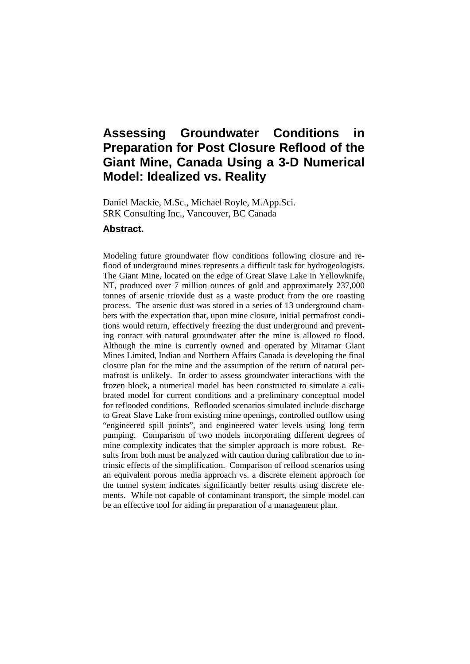# **Assessing Groundwater Conditions in Preparation for Post Closure Reflood of the Giant Mine, Canada Using a 3-D Numerical Model: Idealized vs. Reality**

Daniel Mackie, M.Sc., Michael Royle, M.App.Sci. SRK Consulting Inc., Vancouver, BC Canada

## **Abstract.**

Modeling future groundwater flow conditions following closure and reflood of underground mines represents a difficult task for hydrogeologists. The Giant Mine, located on the edge of Great Slave Lake in Yellowknife, NT, produced over 7 million ounces of gold and approximately 237,000 tonnes of arsenic trioxide dust as a waste product from the ore roasting process. The arsenic dust was stored in a series of 13 underground chambers with the expectation that, upon mine closure, initial permafrost conditions would return, effectively freezing the dust underground and preventing contact with natural groundwater after the mine is allowed to flood. Although the mine is currently owned and operated by Miramar Giant Mines Limited, Indian and Northern Affairs Canada is developing the final closure plan for the mine and the assumption of the return of natural permafrost is unlikely. In order to assess groundwater interactions with the frozen block, a numerical model has been constructed to simulate a calibrated model for current conditions and a preliminary conceptual model for reflooded conditions. Reflooded scenarios simulated include discharge to Great Slave Lake from existing mine openings, controlled outflow using "engineered spill points", and engineered water levels using long term pumping. Comparison of two models incorporating different degrees of mine complexity indicates that the simpler approach is more robust. Results from both must be analyzed with caution during calibration due to intrinsic effects of the simplification. Comparison of reflood scenarios using an equivalent porous media approach vs. a discrete element approach for the tunnel system indicates significantly better results using discrete elements. While not capable of contaminant transport, the simple model can be an effective tool for aiding in preparation of a management plan.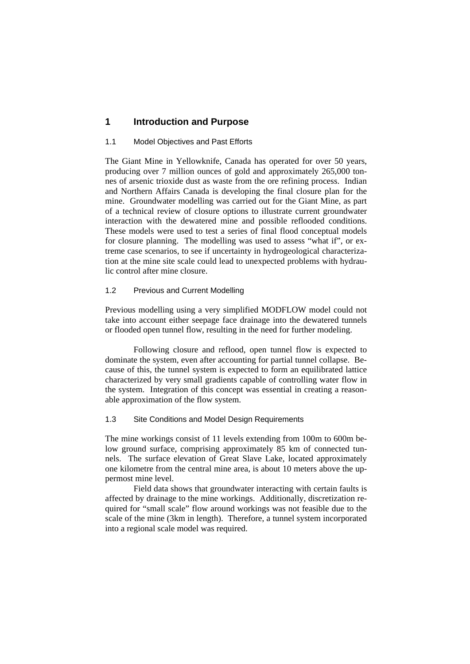## **1 Introduction and Purpose**

#### 1.1 Model Objectives and Past Efforts

The Giant Mine in Yellowknife, Canada has operated for over 50 years, producing over 7 million ounces of gold and approximately 265,000 tonnes of arsenic trioxide dust as waste from the ore refining process. Indian and Northern Affairs Canada is developing the final closure plan for the mine. Groundwater modelling was carried out for the Giant Mine, as part of a technical review of closure options to illustrate current groundwater interaction with the dewatered mine and possible reflooded conditions. These models were used to test a series of final flood conceptual models for closure planning. The modelling was used to assess "what if", or extreme case scenarios, to see if uncertainty in hydrogeological characterization at the mine site scale could lead to unexpected problems with hydraulic control after mine closure.

#### 1.2 Previous and Current Modelling

Previous modelling using a very simplified MODFLOW model could not take into account either seepage face drainage into the dewatered tunnels or flooded open tunnel flow, resulting in the need for further modeling.

Following closure and reflood, open tunnel flow is expected to dominate the system, even after accounting for partial tunnel collapse. Because of this, the tunnel system is expected to form an equilibrated lattice characterized by very small gradients capable of controlling water flow in the system. Integration of this concept was essential in creating a reasonable approximation of the flow system.

#### 1.3 Site Conditions and Model Design Requirements

The mine workings consist of 11 levels extending from 100m to 600m below ground surface, comprising approximately 85 km of connected tunnels. The surface elevation of Great Slave Lake, located approximately one kilometre from the central mine area, is about 10 meters above the uppermost mine level.

Field data shows that groundwater interacting with certain faults is affected by drainage to the mine workings. Additionally, discretization required for "small scale" flow around workings was not feasible due to the scale of the mine (3km in length). Therefore, a tunnel system incorporated into a regional scale model was required.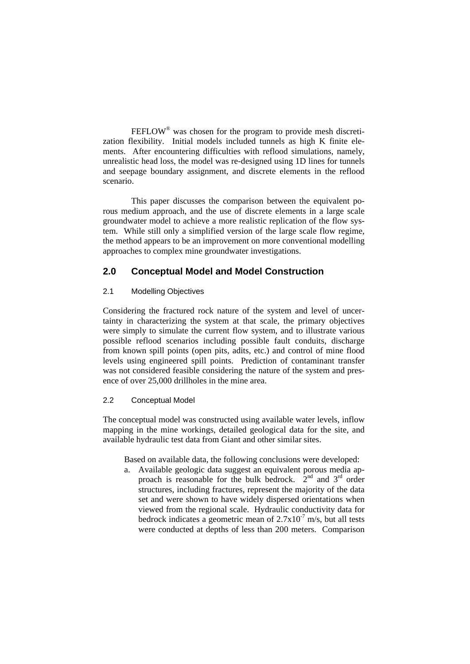FEFLOW<sup>®</sup> was chosen for the program to provide mesh discretization flexibility. Initial models included tunnels as high K finite elements. After encountering difficulties with reflood simulations, namely, unrealistic head loss, the model was re-designed using 1D lines for tunnels and seepage boundary assignment, and discrete elements in the reflood scenario.

This paper discusses the comparison between the equivalent porous medium approach, and the use of discrete elements in a large scale groundwater model to achieve a more realistic replication of the flow system. While still only a simplified version of the large scale flow regime, the method appears to be an improvement on more conventional modelling approaches to complex mine groundwater investigations.

# **2.0 Conceptual Model and Model Construction**

## 2.1 Modelling Objectives

Considering the fractured rock nature of the system and level of uncertainty in characterizing the system at that scale, the primary objectives were simply to simulate the current flow system, and to illustrate various possible reflood scenarios including possible fault conduits, discharge from known spill points (open pits, adits, etc.) and control of mine flood levels using engineered spill points. Prediction of contaminant transfer was not considered feasible considering the nature of the system and presence of over 25,000 drillholes in the mine area.

## 2.2 Conceptual Model

The conceptual model was constructed using available water levels, inflow mapping in the mine workings, detailed geological data for the site, and available hydraulic test data from Giant and other similar sites.

Based on available data, the following conclusions were developed:

a. Available geologic data suggest an equivalent porous media approach is reasonable for the bulk bedrock.  $2<sup>nd</sup>$  and  $3<sup>rd</sup>$  order structures, including fractures, represent the majority of the data set and were shown to have widely dispersed orientations when viewed from the regional scale. Hydraulic conductivity data for bedrock indicates a geometric mean of  $2.7 \times 10^{-7}$  m/s, but all tests were conducted at depths of less than 200 meters. Comparison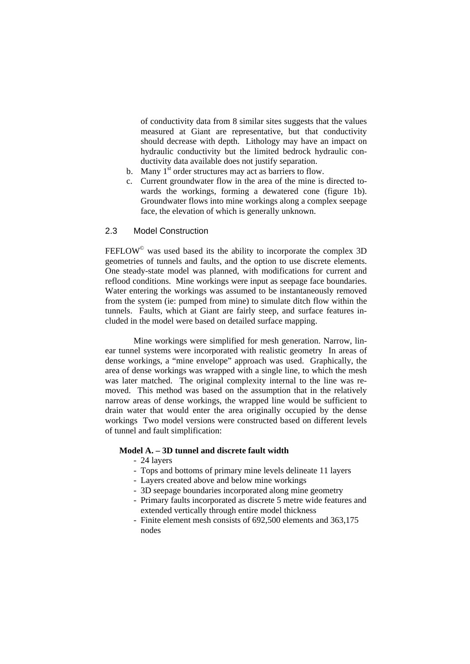of conductivity data from 8 similar sites suggests that the values measured at Giant are representative, but that conductivity should decrease with depth. Lithology may have an impact on hydraulic conductivity but the limited bedrock hydraulic conductivity data available does not justify separation.

- b. Many  $1<sup>st</sup>$  order structures may act as barriers to flow.
- c. Current groundwater flow in the area of the mine is directed towards the workings, forming a dewatered cone (figure 1b). Groundwater flows into mine workings along a complex seepage face, the elevation of which is generally unknown.

#### 2.3 Model Construction

 $FEFLOW<sup>°</sup>$  was used based its the ability to incorporate the complex 3D geometries of tunnels and faults, and the option to use discrete elements. One steady-state model was planned, with modifications for current and reflood conditions. Mine workings were input as seepage face boundaries. Water entering the workings was assumed to be instantaneously removed from the system (ie: pumped from mine) to simulate ditch flow within the tunnels. Faults, which at Giant are fairly steep, and surface features included in the model were based on detailed surface mapping.

Mine workings were simplified for mesh generation. Narrow, linear tunnel systems were incorporated with realistic geometry In areas of dense workings, a "mine envelope" approach was used. Graphically, the area of dense workings was wrapped with a single line, to which the mesh was later matched. The original complexity internal to the line was removed. This method was based on the assumption that in the relatively narrow areas of dense workings, the wrapped line would be sufficient to drain water that would enter the area originally occupied by the dense workings Two model versions were constructed based on different levels of tunnel and fault simplification:

## **Model A. – 3D tunnel and discrete fault width**

- 24 layers
- Tops and bottoms of primary mine levels delineate 11 layers
- Layers created above and below mine workings
- 3D seepage boundaries incorporated along mine geometry
- Primary faults incorporated as discrete 5 metre wide features and extended vertically through entire model thickness
- Finite element mesh consists of 692,500 elements and 363,175 nodes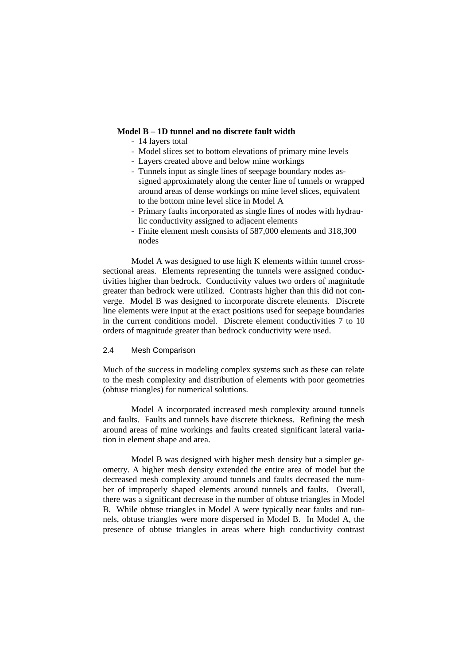#### **Model B – 1D tunnel and no discrete fault width**

- 14 layers total
- Model slices set to bottom elevations of primary mine levels
- Layers created above and below mine workings
- Tunnels input as single lines of seepage boundary nodes assigned approximately along the center line of tunnels or wrapped around areas of dense workings on mine level slices, equivalent to the bottom mine level slice in Model A
- Primary faults incorporated as single lines of nodes with hydraulic conductivity assigned to adjacent elements
- Finite element mesh consists of 587,000 elements and 318,300 nodes

Model A was designed to use high K elements within tunnel crosssectional areas. Elements representing the tunnels were assigned conductivities higher than bedrock. Conductivity values two orders of magnitude greater than bedrock were utilized. Contrasts higher than this did not converge. Model B was designed to incorporate discrete elements. Discrete line elements were input at the exact positions used for seepage boundaries in the current conditions model. Discrete element conductivities 7 to 10 orders of magnitude greater than bedrock conductivity were used.

#### 2.4 Mesh Comparison

Much of the success in modeling complex systems such as these can relate to the mesh complexity and distribution of elements with poor geometries (obtuse triangles) for numerical solutions.

Model A incorporated increased mesh complexity around tunnels and faults. Faults and tunnels have discrete thickness. Refining the mesh around areas of mine workings and faults created significant lateral variation in element shape and area.

Model B was designed with higher mesh density but a simpler geometry. A higher mesh density extended the entire area of model but the decreased mesh complexity around tunnels and faults decreased the number of improperly shaped elements around tunnels and faults. Overall, there was a significant decrease in the number of obtuse triangles in Model B. While obtuse triangles in Model A were typically near faults and tunnels, obtuse triangles were more dispersed in Model B. In Model A, the presence of obtuse triangles in areas where high conductivity contrast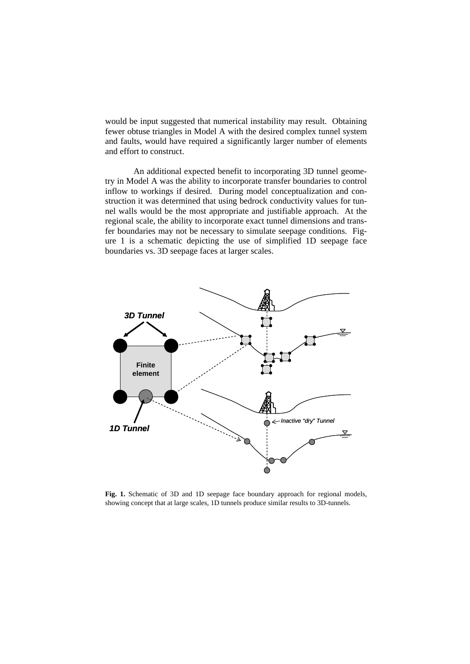would be input suggested that numerical instability may result. Obtaining fewer obtuse triangles in Model A with the desired complex tunnel system and faults, would have required a significantly larger number of elements and effort to construct.

An additional expected benefit to incorporating 3D tunnel geometry in Model A was the ability to incorporate transfer boundaries to control inflow to workings if desired. During model conceptualization and construction it was determined that using bedrock conductivity values for tunnel walls would be the most appropriate and justifiable approach. At the regional scale, the ability to incorporate exact tunnel dimensions and transfer boundaries may not be necessary to simulate seepage conditions. Figure 1 is a schematic depicting the use of simplified 1D seepage face boundaries vs. 3D seepage faces at larger scales.



**Fig. 1.** Schematic of 3D and 1D seepage face boundary approach for regional models, showing concept that at large scales, 1D tunnels produce similar results to 3D-tunnels.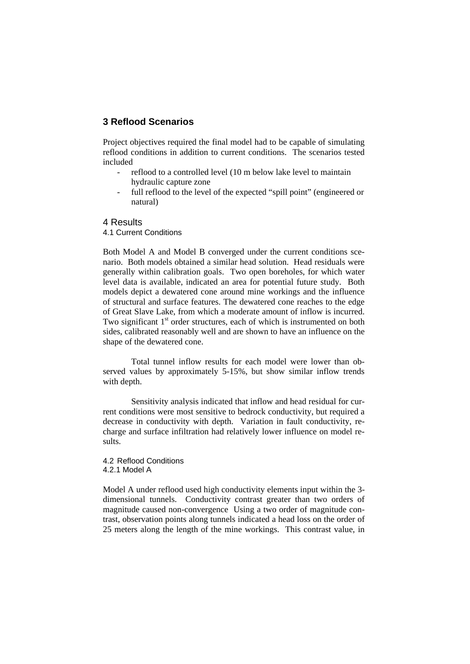# **3 Reflood Scenarios**

Project objectives required the final model had to be capable of simulating reflood conditions in addition to current conditions. The scenarios tested included

- reflood to a controlled level (10 m below lake level to maintain hydraulic capture zone
- full reflood to the level of the expected "spill point" (engineered or natural)

## 4 Results

4.1 Current Conditions

Both Model A and Model B converged under the current conditions scenario. Both models obtained a similar head solution. Head residuals were generally within calibration goals. Two open boreholes, for which water level data is available, indicated an area for potential future study. Both models depict a dewatered cone around mine workings and the influence of structural and surface features. The dewatered cone reaches to the edge of Great Slave Lake, from which a moderate amount of inflow is incurred. Two significant  $1<sup>st</sup>$  order structures, each of which is instrumented on both sides, calibrated reasonably well and are shown to have an influence on the shape of the dewatered cone.

Total tunnel inflow results for each model were lower than observed values by approximately 5-15%, but show similar inflow trends with depth.

Sensitivity analysis indicated that inflow and head residual for current conditions were most sensitive to bedrock conductivity, but required a decrease in conductivity with depth. Variation in fault conductivity, recharge and surface infiltration had relatively lower influence on model results.

4.2 Reflood Conditions 4.2.1 Model A

Model A under reflood used high conductivity elements input within the 3 dimensional tunnels. Conductivity contrast greater than two orders of magnitude caused non-convergence Using a two order of magnitude contrast, observation points along tunnels indicated a head loss on the order of 25 meters along the length of the mine workings. This contrast value, in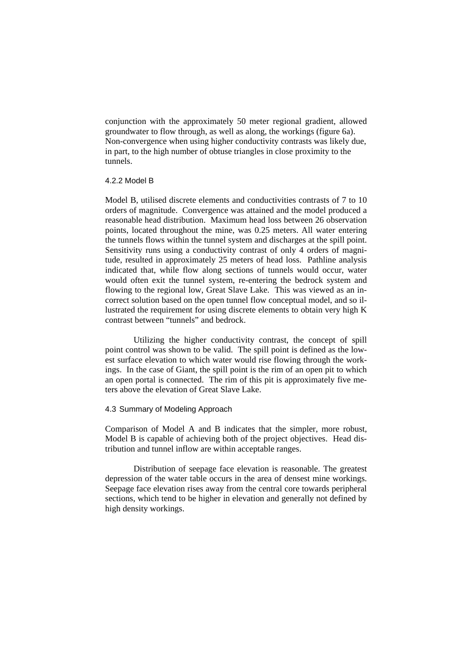conjunction with the approximately 50 meter regional gradient, allowed groundwater to flow through, as well as along, the workings (figure 6a). Non-convergence when using higher conductivity contrasts was likely due, in part, to the high number of obtuse triangles in close proximity to the tunnels.

#### 4.2.2 Model B

Model B, utilised discrete elements and conductivities contrasts of 7 to 10 orders of magnitude. Convergence was attained and the model produced a reasonable head distribution. Maximum head loss between 26 observation points, located throughout the mine, was 0.25 meters. All water entering the tunnels flows within the tunnel system and discharges at the spill point. Sensitivity runs using a conductivity contrast of only 4 orders of magnitude, resulted in approximately 25 meters of head loss. Pathline analysis indicated that, while flow along sections of tunnels would occur, water would often exit the tunnel system, re-entering the bedrock system and flowing to the regional low, Great Slave Lake. This was viewed as an incorrect solution based on the open tunnel flow conceptual model, and so illustrated the requirement for using discrete elements to obtain very high K contrast between "tunnels" and bedrock.

Utilizing the higher conductivity contrast, the concept of spill point control was shown to be valid. The spill point is defined as the lowest surface elevation to which water would rise flowing through the workings. In the case of Giant, the spill point is the rim of an open pit to which an open portal is connected. The rim of this pit is approximately five meters above the elevation of Great Slave Lake.

#### 4.3 Summary of Modeling Approach

Comparison of Model A and B indicates that the simpler, more robust, Model B is capable of achieving both of the project objectives. Head distribution and tunnel inflow are within acceptable ranges.

Distribution of seepage face elevation is reasonable. The greatest depression of the water table occurs in the area of densest mine workings. Seepage face elevation rises away from the central core towards peripheral sections, which tend to be higher in elevation and generally not defined by high density workings.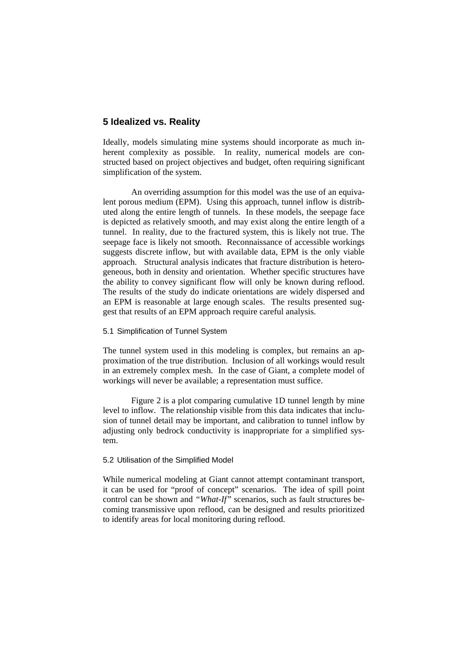## **5 Idealized vs. Reality**

Ideally, models simulating mine systems should incorporate as much inherent complexity as possible. In reality, numerical models are constructed based on project objectives and budget, often requiring significant simplification of the system.

An overriding assumption for this model was the use of an equivalent porous medium (EPM). Using this approach, tunnel inflow is distributed along the entire length of tunnels. In these models, the seepage face is depicted as relatively smooth, and may exist along the entire length of a tunnel. In reality, due to the fractured system, this is likely not true. The seepage face is likely not smooth. Reconnaissance of accessible workings suggests discrete inflow, but with available data, EPM is the only viable approach. Structural analysis indicates that fracture distribution is heterogeneous, both in density and orientation. Whether specific structures have the ability to convey significant flow will only be known during reflood. The results of the study do indicate orientations are widely dispersed and an EPM is reasonable at large enough scales. The results presented suggest that results of an EPM approach require careful analysis.

#### 5.1 Simplification of Tunnel System

The tunnel system used in this modeling is complex, but remains an approximation of the true distribution. Inclusion of all workings would result in an extremely complex mesh. In the case of Giant, a complete model of workings will never be available; a representation must suffice.

Figure 2 is a plot comparing cumulative 1D tunnel length by mine level to inflow. The relationship visible from this data indicates that inclusion of tunnel detail may be important, and calibration to tunnel inflow by adjusting only bedrock conductivity is inappropriate for a simplified system.

#### 5.2 Utilisation of the Simplified Model

While numerical modeling at Giant cannot attempt contaminant transport, it can be used for "proof of concept" scenarios. The idea of spill point control can be shown and "What-If" scenarios, such as fault structures becoming transmissive upon reflood, can be designed and results prioritized to identify areas for local monitoring during reflood.